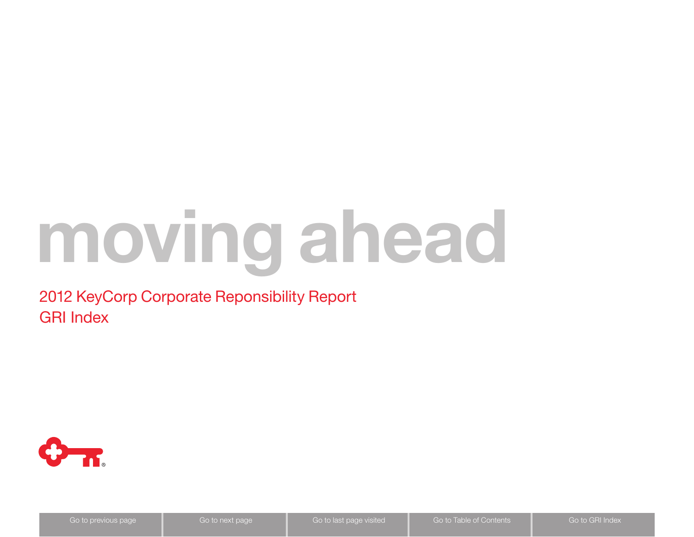# moving ahead

2012 KeyCorp Corporate Reponsibility Report GRI Index

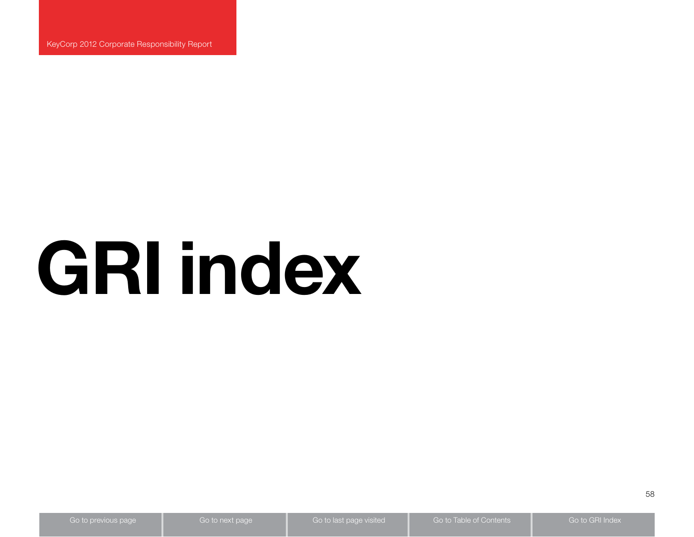<span id="page-1-0"></span>KeyCorp 2012 Corporate Responsibility Report

# GRI index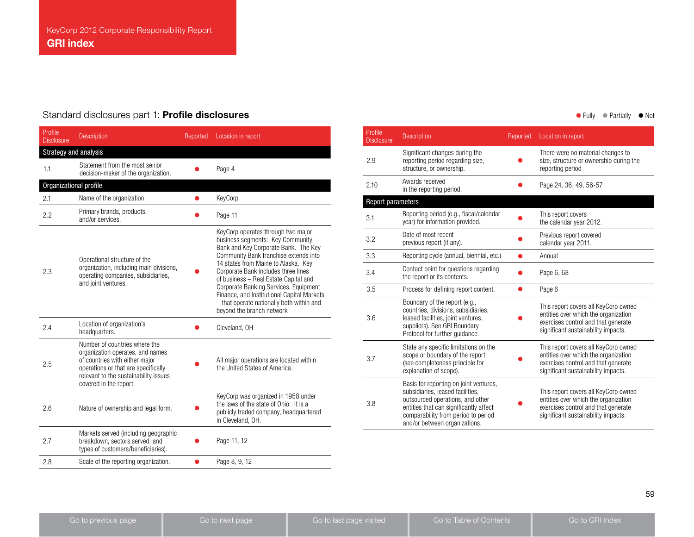# Standard disclosures part 1: **Profile disclosures** and **Fully and Table 2018** and Fully **Contract Contract Contract Contract Contract Contract Contract Contract Contract Contract Contract Contract Contract Contract Contrac**

| Profile<br><b>Disclosure</b> | <b>Description</b>                                                                                                                                                                                            | Reported | Location in report                                                                                                                                                                                                                                                                                                                                                                                                                              |
|------------------------------|---------------------------------------------------------------------------------------------------------------------------------------------------------------------------------------------------------------|----------|-------------------------------------------------------------------------------------------------------------------------------------------------------------------------------------------------------------------------------------------------------------------------------------------------------------------------------------------------------------------------------------------------------------------------------------------------|
| Strategy and analysis        |                                                                                                                                                                                                               |          |                                                                                                                                                                                                                                                                                                                                                                                                                                                 |
| 1.1                          | Statement from the most senior<br>decision-maker of the organization.                                                                                                                                         |          | Page 4                                                                                                                                                                                                                                                                                                                                                                                                                                          |
| Organizational profile       |                                                                                                                                                                                                               |          |                                                                                                                                                                                                                                                                                                                                                                                                                                                 |
| 2.1                          | Name of the organization.                                                                                                                                                                                     |          | KeyCorp                                                                                                                                                                                                                                                                                                                                                                                                                                         |
| 2.2                          | Primary brands, products,<br>and/or services.                                                                                                                                                                 |          | Page 11                                                                                                                                                                                                                                                                                                                                                                                                                                         |
| 2.3                          | Operational structure of the<br>organization, including main divisions,<br>operating companies, subsidiaries,<br>and joint ventures.                                                                          |          | KeyCorp operates through two major<br>business segments: Key Community<br>Bank and Key Corporate Bank. The Key<br>Community Bank franchise extends into<br>14 states from Maine to Alaska. Key<br>Corporate Bank includes three lines<br>of business - Real Estate Capital and<br>Corporate Banking Services, Equipment<br>Finance, and Institutional Capital Markets<br>- that operate nationally both within and<br>beyond the branch network |
| 2.4                          | Location of organization's<br>headquarters.                                                                                                                                                                   |          | Cleveland, OH                                                                                                                                                                                                                                                                                                                                                                                                                                   |
| 2.5                          | Number of countries where the<br>organization operates, and names<br>of countries with either major<br>operations or that are specifically<br>relevant to the sustainability issues<br>covered in the report. |          | All major operations are located within<br>the United States of America.                                                                                                                                                                                                                                                                                                                                                                        |
| 2.6                          | Nature of ownership and legal form.                                                                                                                                                                           |          | KeyCorp was organized in 1958 under<br>the laws of the state of Ohio. It is a<br>publicly traded company, headquartered<br>in Cleveland, OH.                                                                                                                                                                                                                                                                                                    |
| 2.7                          | Markets served (including geographic<br>breakdown, sectors served, and<br>types of customers/beneficiaries).                                                                                                  |          | Page 11, 12                                                                                                                                                                                                                                                                                                                                                                                                                                     |
| 2.8                          | Scale of the reporting organization.                                                                                                                                                                          |          | Page 8, 9, 12                                                                                                                                                                                                                                                                                                                                                                                                                                   |

| Profile<br><b>Disclosure</b> | <b>Description</b>                                                                                                                                                                                                               | Reported | Location in report                                                                                                                                         |
|------------------------------|----------------------------------------------------------------------------------------------------------------------------------------------------------------------------------------------------------------------------------|----------|------------------------------------------------------------------------------------------------------------------------------------------------------------|
| 2.9                          | Significant changes during the<br>reporting period regarding size,<br>structure, or ownership.                                                                                                                                   |          | There were no material changes to<br>size, structure or ownership during the<br>reporting period                                                           |
| 2.10                         | Awards received<br>in the reporting period.                                                                                                                                                                                      |          | Page 24, 36, 49, 56-57                                                                                                                                     |
| <b>Report parameters</b>     |                                                                                                                                                                                                                                  |          |                                                                                                                                                            |
| 3.1                          | Reporting period (e.g., fiscal/calendar<br>year) for information provided.                                                                                                                                                       |          | This report covers<br>the calendar year 2012.                                                                                                              |
| 3.2                          | Date of most recent<br>previous report (if any).                                                                                                                                                                                 |          | Previous report covered<br>calendar year 2011.                                                                                                             |
| 3.3                          | Reporting cycle (annual, biennial, etc.)                                                                                                                                                                                         |          | Annual                                                                                                                                                     |
| 3.4                          | Contact point for questions regarding<br>the report or its contents.                                                                                                                                                             |          | Page 6, 68                                                                                                                                                 |
| 3.5                          | Process for defining report content.                                                                                                                                                                                             |          | Page 6                                                                                                                                                     |
| 3.6                          | Boundary of the report (e.g.,<br>countries, divisions, subsidiaries,<br>leased facilities, joint ventures,<br>suppliers). See GRI Boundary<br>Protocol for further quidance.                                                     |          | This report covers all KeyCorp owned<br>entities over which the organization<br>exercises control and that generate<br>significant sustainability impacts. |
| 3.7                          | State any specific limitations on the<br>scope or boundary of the report<br>(see completeness principle for<br>explanation of scope).                                                                                            |          | This report covers all KeyCorp owned<br>entities over which the organization<br>exercises control and that generate<br>significant sustainability impacts. |
| 3.8                          | Basis for reporting on joint ventures,<br>subsidiaries, leased facilities,<br>outsourced operations, and other<br>entities that can significantly affect<br>comparability from period to period<br>and/or between organizations. |          | This report covers all KeyCorp owned<br>entities over which the organization<br>exercises control and that generate<br>significant sustainability impacts. |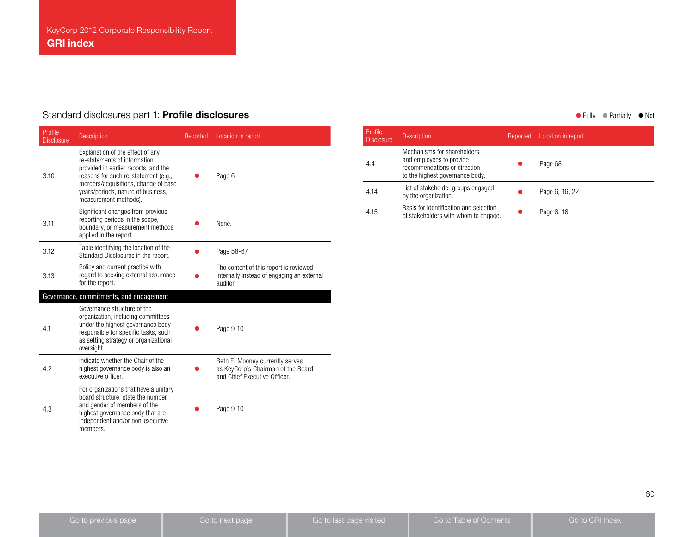### Standard disclosures part 1: Profile disclosures

Profile<br>Disclosure Description **Disclosure Description** Reported Location in report 3.10 Explanation of the effect of any re-statements of information provided in earlier reports, and the reasons for such re-statement (e.g., [mergers/acquisitions, change of base](#page--1-0)  years/periods, nature of business, measurement methods). ● Page 6 3.11 Significant changes from previous reporting periods in the scope, boundary, or measurement methods applied in the report.  $\bullet$  None. 3.12 [Table identifying the location of the](#page-1-0)  Trable identifying the location of the standard Disclosures in the report. 3.13 Policy and current practice with regard to seeking external assurance for the report.  $\bullet$ The content of this report is reviewed internally instead of engaging an external auditor. Governance, commitments, and engagement 4.1 Governance structure of the organization, including committees under the highest governance body responsible for specific tasks, such [as setting strategy or organizational](#page--1-0)  oversight.  $\bullet$  Page 9-10 4.2 Indicate whether the Chair of the highest governance body is also an executive officer.  $\bullet$ Beth E. Mooney currently serves as KeyCorp's Chairman of the Board and Chief Executive Officer. 4.3 [For organizations that have a unitary](#page--1-0)  board structure, state the number and gender of members of the highest governance body that are independent and/or non-executive members.  $P$ age 9-10

 $\bullet$  Fully  $\bullet$  Partially  $\bullet$  Not

| Profile<br><b>Disclosure</b> | <b>Description</b>                                                                                                         | Reported | Location in report |
|------------------------------|----------------------------------------------------------------------------------------------------------------------------|----------|--------------------|
| 4.4                          | Mechanisms for shareholders<br>and employees to provide<br>recommendations or direction<br>to the highest governance body. |          | Page 68            |
| 4.14                         | List of stakeholder groups engaged<br>by the organization.                                                                 |          | Page 6, 16, 22     |
| 4.15                         | Basis for identification and selection<br>of stakeholders with whom to engage.                                             |          | Page 6, 16         |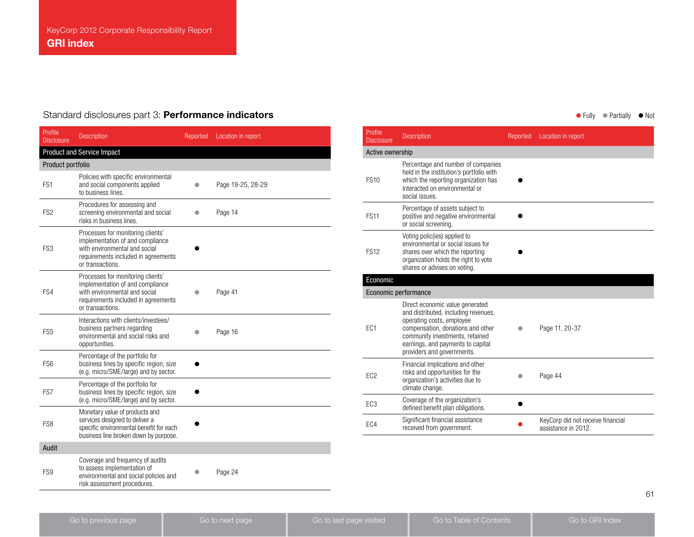# Standard disclosures part 3: **Performance indicators** and **Exercise 2018** and **Containers** and **Containers** and **Containers** and **Containers** and **Containers** and **Containers** and **Containers** and **Containers** and **Contain**

| Profile<br><b>Disclosure</b> | <b>Description</b>                                                                                                                                                | Reported  | Location in report |
|------------------------------|-------------------------------------------------------------------------------------------------------------------------------------------------------------------|-----------|--------------------|
|                              | <b>Product and Service Impact</b>                                                                                                                                 |           |                    |
| Product portfolio            |                                                                                                                                                                   |           |                    |
| FS1                          | Policies with specific environmental<br>and social components applied<br>to business lines.                                                                       |           | Page 19-25, 28-29  |
| FS <sub>2</sub>              | Procedures for assessing and<br>screening environmental and social<br>risks in business lines.                                                                    |           | Page 14            |
| FS3                          | Processes for monitoring clients'<br>implementation of and compliance<br>with environmental and social<br>requirements included in agreements<br>or transactions. |           |                    |
| FS4                          | Processes for monitoring clients'<br>implementation of and compliance<br>with environmental and social<br>requirements included in agreements<br>or transactions. | $\bullet$ | Page 41            |
| FS <sub>5</sub>              | Interactions with clients/investees/<br>business partners regarding<br>environmental and social risks and<br>opportunities.                                       | $\bullet$ | Page 16            |
| FS <sub>6</sub>              | Percentage of the portfolio for<br>business lines by specific region, size<br>(e.g. micro/SME/large) and by sector.                                               |           |                    |
| FS7                          | Percentage of the portfolio for<br>business lines by specific region, size<br>(e.g. micro/SME/large) and by sector.                                               |           |                    |
| FS <sub>8</sub>              | Monetary value of products and<br>services designed to deliver a<br>specific environmental benefit for each<br>business line broken down by purpose.              |           |                    |
| Audit                        |                                                                                                                                                                   |           |                    |
| FS <sub>9</sub>              | Coverage and frequency of audits<br>to assess implementation of<br>environmental and social policies and<br>risk assessment procedures.                           |           | Page 24            |

| Profile<br><b>Disclosure</b> | <b>Description</b>                                                                                                                                                                                                                              | Reported | Location in report                                       |
|------------------------------|-------------------------------------------------------------------------------------------------------------------------------------------------------------------------------------------------------------------------------------------------|----------|----------------------------------------------------------|
| Active ownership             |                                                                                                                                                                                                                                                 |          |                                                          |
| <b>FS10</b>                  | Percentage and number of companies<br>held in the institution's portfolio with<br>which the reporting organization has<br>interacted on environmental or<br>social issues.                                                                      |          |                                                          |
| <b>FS11</b>                  | Percentage of assets subject to<br>positive and negative environmental<br>or social screening.                                                                                                                                                  |          |                                                          |
| <b>FS12</b>                  | Voting polic(ies) applied to<br>environmental or social issues for<br>shares over which the reporting<br>organization holds the right to vote<br>shares or advises on voting.                                                                   |          |                                                          |
| Economic                     |                                                                                                                                                                                                                                                 |          |                                                          |
|                              | Economic performance                                                                                                                                                                                                                            |          |                                                          |
| EC <sub>1</sub>              | Direct economic value generated<br>and distributed, including revenues,<br>operating costs, employee<br>compensation, donations and other<br>community investments, retained<br>earnings, and payments to capital<br>providers and governments. |          | Page 11, 20-37                                           |
| EC <sub>2</sub>              | Financial implications and other<br>risks and opportunities for the<br>organization's activities due to<br>climate change.                                                                                                                      |          | Page 44                                                  |
| EC <sub>3</sub>              | Coverage of the organization's<br>defined benefit plan obligations.                                                                                                                                                                             |          |                                                          |
| EC <sub>4</sub>              | Significant financial assistance<br>received from government.                                                                                                                                                                                   |          | KeyCorp did not receive financial<br>assistance in 2012. |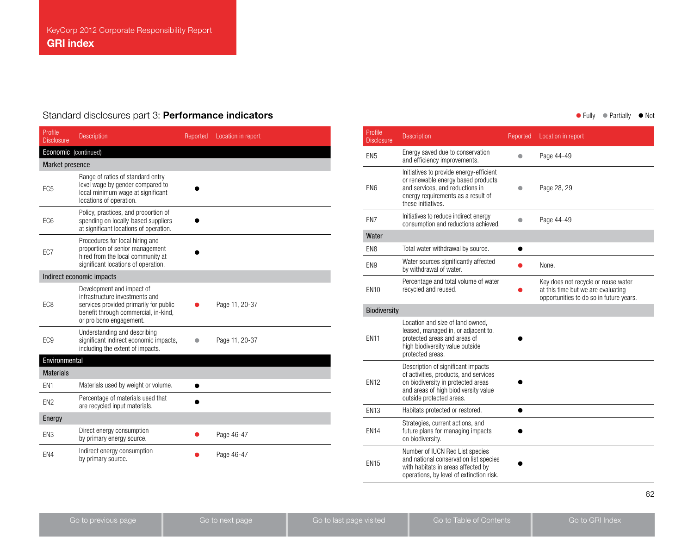### Standard disclosures part 3: **Performance indicators Standard Partially Constant Constant Constant Constant Constant Constant Constant Constant Constant Constant Constant Constant Constant Constant Constant Constant Cons**

| Profile<br><b>Disclosure</b> | <b>Description</b>                                                                                                                                                       | Reported | Location in report |
|------------------------------|--------------------------------------------------------------------------------------------------------------------------------------------------------------------------|----------|--------------------|
| Economic (continued)         |                                                                                                                                                                          |          |                    |
| Market presence              |                                                                                                                                                                          |          |                    |
| EC <sub>5</sub>              | Range of ratios of standard entry<br>level wage by gender compared to<br>local minimum wage at significant<br>locations of operation.                                    |          |                    |
| EC <sub>6</sub>              | Policy, practices, and proportion of<br>spending on locally-based suppliers<br>at significant locations of operation.                                                    |          |                    |
| EC7                          | Procedures for local hiring and<br>proportion of senior management<br>hired from the local community at<br>significant locations of operation.                           |          |                    |
|                              | Indirect economic impacts                                                                                                                                                |          |                    |
| EC <sub>8</sub>              | Development and impact of<br>infrastructure investments and<br>services provided primarily for public<br>benefit through commercial, in-kind,<br>or pro bono engagement. |          | Page 11, 20-37     |
| EC <sub>9</sub>              | Understanding and describing<br>significant indirect economic impacts,<br>including the extent of impacts.                                                               |          | Page 11, 20-37     |
| Environmental                |                                                                                                                                                                          |          |                    |
| <b>Materials</b>             |                                                                                                                                                                          |          |                    |
| EN <sub>1</sub>              | Materials used by weight or volume.                                                                                                                                      |          |                    |
| EN <sub>2</sub>              | Percentage of materials used that<br>are recycled input materials.                                                                                                       |          |                    |
| Energy                       |                                                                                                                                                                          |          |                    |
| EN <sub>3</sub>              | Direct energy consumption<br>by primary energy source.                                                                                                                   |          | Page 46-47         |
| EN4                          | Indirect energy consumption<br>by primary source.                                                                                                                        |          | Page 46-47         |

Energy saved due to conservation<br>and efficiency improvements. Initiatives to provide energy-efficient [or renewable energy based products](#page--1-0)  and services, and reductions in energy requirements as a result of these initiatives. **e** Page 28, 29 EN7 Initiatives to reduce indirect energy miniatives to reduce indirect energy<br> [consumption and reductions achieved.](#page--1-0) EN8 Total water withdrawal by source. EN9 Water sources significantly affected water sources significantly affected<br>by withdrawal of water. Percentage and total volume of water recycled and reused. Key does not recycle or reuse water at this time but we are evaluating opportunities to do so in future years. Biodiversity Location and size of land owned, leased, managed in, or adjacent to, protected areas and areas of high biodiversity value outside protected areas. l Description of significant impacts of activities, products, and services on biodiversity in protected areas and areas of high biodiversity value outside protected areas.  $\bullet$ EN13 Habitats protected or restored. Strategies, current actions, and future plans for managing impacts on biodiversity.  $\bullet$ Number of IUCN Red List species and national conservation list species l

Description **Disclosure Description** Reported Location in report

Profile<br>Disclosure

EN6

Water

EN10

EN11

EN12

EN14

EN15

EN5 [Energy saved due to conservation](#page--1-0) 

with habitats in areas affected by operations, by level of extinction risk.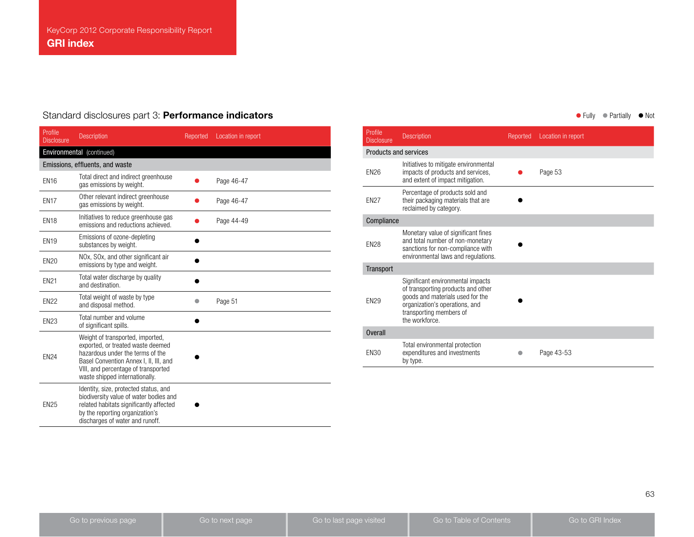## Standard disclosures part 3: **Performance indicators** and **Exercise 2018** and **Canadian Control of Fully 19** Partially **I** Not

| Profile<br><b>Disclosure</b> | <b>Description</b>                                                                                                                                                                                                           | Reported | Location in report |  |  |
|------------------------------|------------------------------------------------------------------------------------------------------------------------------------------------------------------------------------------------------------------------------|----------|--------------------|--|--|
| Environmental (continued)    |                                                                                                                                                                                                                              |          |                    |  |  |
|                              | Emissions, effluents, and waste                                                                                                                                                                                              |          |                    |  |  |
| <b>EN16</b>                  | Total direct and indirect greenhouse<br>gas emissions by weight.                                                                                                                                                             |          | Page 46-47         |  |  |
| <b>EN17</b>                  | Other relevant indirect greenhouse<br>gas emissions by weight.                                                                                                                                                               |          | Page 46-47         |  |  |
| <b>EN18</b>                  | Initiatives to reduce greenhouse gas<br>emissions and reductions achieved.                                                                                                                                                   |          | Page 44-49         |  |  |
| <b>EN19</b>                  | Emissions of ozone-depleting<br>substances by weight.                                                                                                                                                                        |          |                    |  |  |
| <b>EN20</b>                  | NOx, SOx, and other significant air<br>emissions by type and weight.                                                                                                                                                         |          |                    |  |  |
| <b>EN21</b>                  | Total water discharge by quality<br>and destination.                                                                                                                                                                         |          |                    |  |  |
| <b>EN22</b>                  | Total weight of waste by type<br>and disposal method.                                                                                                                                                                        |          | Page 51            |  |  |
| <b>EN23</b>                  | Total number and volume<br>of significant spills.                                                                                                                                                                            |          |                    |  |  |
| <b>EN24</b>                  | Weight of transported, imported,<br>exported, or treated waste deemed<br>hazardous under the terms of the<br>Basel Convention Annex I, II, III, and<br>VIII, and percentage of transported<br>waste shipped internationally. |          |                    |  |  |
| <b>EN25</b>                  | Identity, size, protected status, and<br>biodiversity value of water bodies and<br>related habitats significantly affected<br>by the reporting organization's<br>discharges of water and runoff.                             |          |                    |  |  |

| Profile<br><b>Disclosure</b> | <b>Description</b>                                                                                                                                                                         | Reported | Location in report |
|------------------------------|--------------------------------------------------------------------------------------------------------------------------------------------------------------------------------------------|----------|--------------------|
| Products and services        |                                                                                                                                                                                            |          |                    |
| <b>EN26</b>                  | Initiatives to mitigate environmental<br>impacts of products and services,<br>and extent of impact mitigation.                                                                             |          | Page 53            |
| <b>EN27</b>                  | Percentage of products sold and<br>their packaging materials that are<br>reclaimed by category.                                                                                            |          |                    |
| Compliance                   |                                                                                                                                                                                            |          |                    |
| <b>EN28</b>                  | Monetary value of significant fines<br>and total number of non-monetary<br>sanctions for non-compliance with<br>environmental laws and regulations.                                        |          |                    |
| Transport                    |                                                                                                                                                                                            |          |                    |
| <b>EN29</b>                  | Significant environmental impacts<br>of transporting products and other<br>goods and materials used for the<br>organization's operations, and<br>transporting members of<br>the workforce. |          |                    |
| Overall                      |                                                                                                                                                                                            |          |                    |
| <b>EN30</b>                  | Total environmental protection<br>expenditures and investments<br>by type.                                                                                                                 |          | Page 43-53         |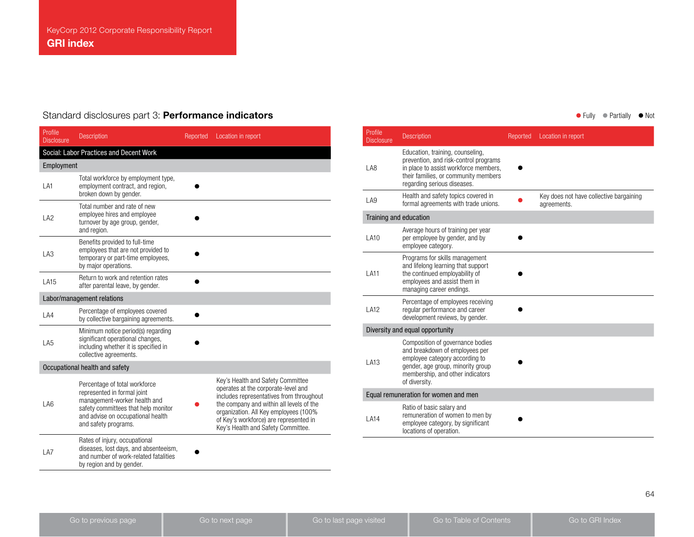## Standard disclosures part 3: **Performance indicators** and **Exercise 2018** and **Canadian Control of Fully 19** Partially **I** Not

| Profile<br><b>Disclosure</b> | <b>Description</b>                                                                                                                                                                               | Reported | Location in report                                                                                                                                                                                                                                                                        |  |  |  |  |
|------------------------------|--------------------------------------------------------------------------------------------------------------------------------------------------------------------------------------------------|----------|-------------------------------------------------------------------------------------------------------------------------------------------------------------------------------------------------------------------------------------------------------------------------------------------|--|--|--|--|
|                              | Social: Labor Practices and Decent Work                                                                                                                                                          |          |                                                                                                                                                                                                                                                                                           |  |  |  |  |
| Employment                   |                                                                                                                                                                                                  |          |                                                                                                                                                                                                                                                                                           |  |  |  |  |
| LA1                          | Total workforce by employment type,<br>employment contract, and region,<br>broken down by gender.                                                                                                |          |                                                                                                                                                                                                                                                                                           |  |  |  |  |
| LA <sub>2</sub>              | Total number and rate of new<br>employee hires and employee<br>turnover by age group, gender,<br>and region.                                                                                     |          |                                                                                                                                                                                                                                                                                           |  |  |  |  |
| LA <sub>3</sub>              | Benefits provided to full-time<br>employees that are not provided to<br>temporary or part-time employees,<br>by major operations.                                                                |          |                                                                                                                                                                                                                                                                                           |  |  |  |  |
| LA15                         | Return to work and retention rates<br>after parental leave, by gender.                                                                                                                           |          |                                                                                                                                                                                                                                                                                           |  |  |  |  |
|                              | Labor/management relations                                                                                                                                                                       |          |                                                                                                                                                                                                                                                                                           |  |  |  |  |
| LA4                          | Percentage of employees covered<br>by collective bargaining agreements.                                                                                                                          |          |                                                                                                                                                                                                                                                                                           |  |  |  |  |
| LA <sub>5</sub>              | Minimum notice period(s) regarding<br>significant operational changes,<br>including whether it is specified in<br>collective agreements.                                                         |          |                                                                                                                                                                                                                                                                                           |  |  |  |  |
|                              | Occupational health and safety                                                                                                                                                                   |          |                                                                                                                                                                                                                                                                                           |  |  |  |  |
| LA6                          | Percentage of total workforce<br>represented in formal joint<br>management-worker health and<br>safety committees that help monitor<br>and advise on occupational health<br>and safety programs. |          | Key's Health and Safety Committee<br>operates at the corporate-level and<br>includes representatives from throughout<br>the company and within all levels of the<br>organization. All Key employees (100%<br>of Key's workforce) are represented in<br>Key's Health and Safety Committee. |  |  |  |  |
| LA7                          | Rates of injury, occupational<br>diseases, lost days, and absenteeism,<br>and number of work-related fatalities<br>by region and by gender.                                                      |          |                                                                                                                                                                                                                                                                                           |  |  |  |  |

| Profile<br><b>Disclosure</b> | <b>Description</b>                                                                                                                                                                             | Reported | Location in report                                     |
|------------------------------|------------------------------------------------------------------------------------------------------------------------------------------------------------------------------------------------|----------|--------------------------------------------------------|
| LA8                          | Education, training, counseling,<br>prevention, and risk-control programs<br>in place to assist workforce members,<br>their families, or community members<br>regarding serious diseases.      |          |                                                        |
| LA <sub>9</sub>              | Health and safety topics covered in<br>formal agreements with trade unions.                                                                                                                    |          | Key does not have collective bargaining<br>agreements. |
| Training and education       |                                                                                                                                                                                                |          |                                                        |
| LA10                         | Average hours of training per year<br>per employee by gender, and by<br>employee category.                                                                                                     |          |                                                        |
| <b>LA11</b>                  | Programs for skills management<br>and lifelong learning that support<br>the continued employability of<br>employees and assist them in<br>managing career endings.                             |          |                                                        |
| <b>LA12</b>                  | Percentage of employees receiving<br>regular performance and career<br>development reviews, by gender.                                                                                         |          |                                                        |
|                              | Diversity and equal opportunity                                                                                                                                                                |          |                                                        |
| LA13                         | Composition of governance bodies<br>and breakdown of employees per<br>employee category according to<br>gender, age group, minority group<br>membership, and other indicators<br>of diversity. |          |                                                        |
|                              | Equal remuneration for women and men                                                                                                                                                           |          |                                                        |
| LA14                         | Ratio of basic salary and<br>remuneration of women to men by<br>employee category, by significant<br>locations of operation.                                                                   |          |                                                        |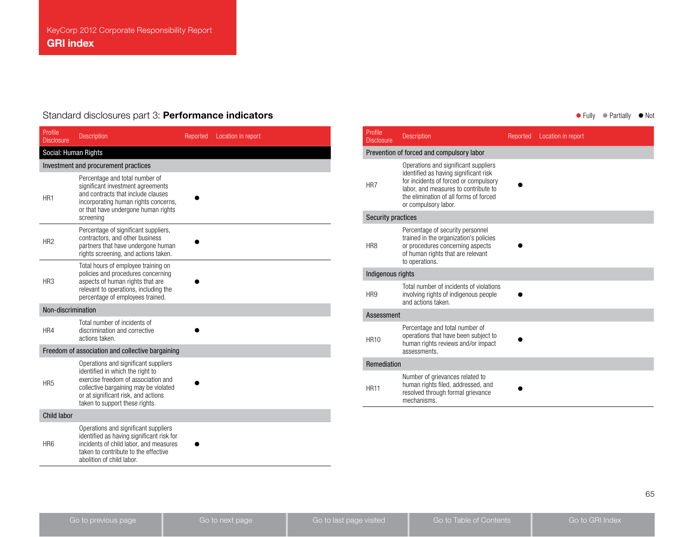### Standard disclosures part 3: **Performance indicators Standard Partially Constant Constant Constant Constant Constant Constant Constant Constant Constant Constant Constant Constant Constant Constant Constant Constant Cons**

Profile<br>Disclosure Description **Disclosure Description** Reported Location in report Social: Human Rights Investment and procurement practices HR1 Percentage and total number of significant investment agreements and contracts that include clauses incorporating human rights concerns, or that have undergone human rights screening  $\bullet$ HR2 Percentage of significant suppliers, contractors, and other business partners that have undergone human rights screening, and actions taken.  $\bullet$ HR3 Total hours of employee training on policies and procedures concerning aspects of human rights that are relevant to operations, including the percentage of employees trained. l Non-discrimination HR4 Total number of incidents of discrimination and corrective actions taken. l Freedom of association and collective bargaining HR5 Operations and significant suppliers identified in which the right to exercise freedom of association and collective bargaining may be violated or at significant risk, and actions taken to support these rights.  $\bullet$ Child labor HR6 Operations and significant suppliers identified as having significant risk for incidents of child labor, and measures taken to contribute to the effective abolition of child labor.  $\bullet$ 

| Profile<br><b>Disclosure</b> | <b>Description</b>                                                                                                                                                                                                               | Reported | Location in report |  |
|------------------------------|----------------------------------------------------------------------------------------------------------------------------------------------------------------------------------------------------------------------------------|----------|--------------------|--|
|                              | Prevention of forced and compulsory labor                                                                                                                                                                                        |          |                    |  |
| HR7                          | Operations and significant suppliers<br>identified as having significant risk<br>for incidents of forced or compulsory<br>labor, and measures to contribute to<br>the elimination of all forms of forced<br>or compulsory labor. |          |                    |  |
| Security practices           |                                                                                                                                                                                                                                  |          |                    |  |
| HR <sub>8</sub>              | Percentage of security personnel<br>trained in the organization's policies<br>or procedures concerning aspects<br>of human rights that are relevant<br>to operations.                                                            |          |                    |  |
| Indigenous rights            |                                                                                                                                                                                                                                  |          |                    |  |
| HR <sub>9</sub>              | Total number of incidents of violations<br>involving rights of indigenous people<br>and actions taken.                                                                                                                           |          |                    |  |
| Assessment                   |                                                                                                                                                                                                                                  |          |                    |  |
| <b>HR10</b>                  | Percentage and total number of<br>operations that have been subject to<br>human rights reviews and/or impact<br>assessments.                                                                                                     |          |                    |  |
| Remediation                  |                                                                                                                                                                                                                                  |          |                    |  |
| <b>HR11</b>                  | Number of grievances related to<br>human rights filed, addressed, and<br>resolved through formal grievance<br>mechanisms.                                                                                                        |          |                    |  |
|                              |                                                                                                                                                                                                                                  |          |                    |  |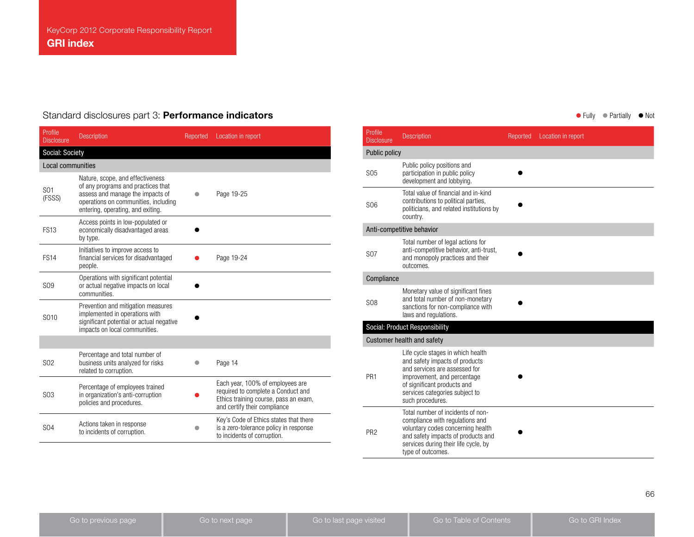## Standard disclosures part 3: **Performance indicators** and **Example 2018** 10 and 10 and 10 and 10 and 10 and 10 and 10 and 10 and 10 and 10 and 10 and 10 and 10 and 10 and 10 and 10 and 10 and 10 and 10 and 10 and 10 and 10

| Profile<br><b>Disclosure</b> | <b>Description</b>                                                                                                                                                                      | Reported | Location in report                                                                                                                              |
|------------------------------|-----------------------------------------------------------------------------------------------------------------------------------------------------------------------------------------|----------|-------------------------------------------------------------------------------------------------------------------------------------------------|
| Social: Society              |                                                                                                                                                                                         |          |                                                                                                                                                 |
| <b>Local communities</b>     |                                                                                                                                                                                         |          |                                                                                                                                                 |
| S <sub>01</sub><br>(FSSS)    | Nature, scope, and effectiveness<br>of any programs and practices that<br>assess and manage the impacts of<br>operations on communities, including<br>entering, operating, and exiting. |          | Page 19-25                                                                                                                                      |
| <b>FS13</b>                  | Access points in low-populated or<br>economically disadvantaged areas<br>by type.                                                                                                       |          |                                                                                                                                                 |
| <b>FS14</b>                  | Initiatives to improve access to<br>financial services for disadvantaged<br>people.                                                                                                     |          | Page 19-24                                                                                                                                      |
| <b>SO9</b>                   | Operations with significant potential<br>or actual negative impacts on local<br>communities.                                                                                            |          |                                                                                                                                                 |
| S <sub>0</sub> 10            | Prevention and mitigation measures<br>implemented in operations with<br>significant potential or actual negative<br>impacts on local communities.                                       |          |                                                                                                                                                 |
|                              |                                                                                                                                                                                         |          |                                                                                                                                                 |
| S <sub>02</sub>              | Percentage and total number of<br>business units analyzed for risks<br>related to corruption.                                                                                           |          | Page 14                                                                                                                                         |
| <b>SO3</b>                   | Percentage of employees trained<br>in organization's anti-corruption<br>policies and procedures.                                                                                        |          | Each year, 100% of employees are<br>required to complete a Conduct and<br>Ethics training course, pass an exam,<br>and certify their compliance |
| S <sub>04</sub>              | Actions taken in response<br>to incidents of corruption.                                                                                                                                |          | Key's Code of Ethics states that there<br>is a zero-tolerance policy in response<br>to incidents of corruption.                                 |

| Profile<br><b>Disclosure</b>      | Description                                                                                                                                                                                                              | Reported | Location in report |  |  |
|-----------------------------------|--------------------------------------------------------------------------------------------------------------------------------------------------------------------------------------------------------------------------|----------|--------------------|--|--|
| Public policy                     |                                                                                                                                                                                                                          |          |                    |  |  |
| <b>SO5</b>                        | Public policy positions and<br>participation in public policy<br>development and lobbying.                                                                                                                               |          |                    |  |  |
| S <sub>06</sub>                   | Total value of financial and in-kind<br>contributions to political parties,<br>politicians, and related institutions by<br>country.                                                                                      |          |                    |  |  |
| Anti-competitive behavior         |                                                                                                                                                                                                                          |          |                    |  |  |
| <b>S07</b>                        | Total number of legal actions for<br>anti-competitive behavior, anti-trust,<br>and monopoly practices and their<br>outcomes.                                                                                             |          |                    |  |  |
| Compliance                        |                                                                                                                                                                                                                          |          |                    |  |  |
| <b>SO8</b>                        | Monetary value of significant fines<br>and total number of non-monetary<br>sanctions for non-compliance with<br>laws and regulations.                                                                                    |          |                    |  |  |
|                                   | <b>Social: Product Responsibility</b>                                                                                                                                                                                    |          |                    |  |  |
| <b>Customer health and safety</b> |                                                                                                                                                                                                                          |          |                    |  |  |
| PR <sub>1</sub>                   | Life cycle stages in which health<br>and safety impacts of products<br>and services are assessed for<br>improvement, and percentage<br>of significant products and<br>services categories subject to<br>such procedures. |          |                    |  |  |
| PR <sub>2</sub>                   | Total number of incidents of non-<br>compliance with regulations and<br>voluntary codes concerning health<br>and safety impacts of products and<br>services during their life cycle, by<br>type of outcomes.             |          |                    |  |  |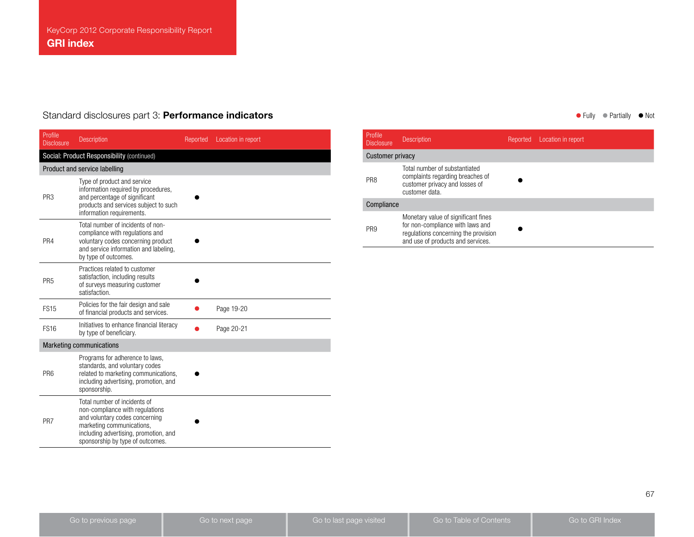### Standard disclosures part 3: **Performance indicators Standard Partially Constant Constant Constant Constant Constant Constant Constant Constant Constant Constant Constant Constant Constant Constant Constant Constant Cons**

Profile<br>Disclosure Description **Disclosure Description** Reported Location in report Social: Product Responsibility (continued) Product and service labelling PR3 Type of product and service information required by procedures, and percentage of significant products and services subject to such information requirements.  $\bullet$ PR4 Total number of incidents of noncompliance with regulations and voluntary codes concerning product and service information and labeling, by type of outcomes.  $\bullet$ PR5 Practices related to customer satisfaction, including results of surveys measuring customer satisfaction.  $\bullet$ FS15 Policies for the fair design and sale Policies for the fair design and sale<br>of financial products and services. FS16 Initiatives to enhance financial literacy by type of beneficiary. Marketing communications PR6 Programs for adherence to laws, standards, and voluntary codes related to marketing communications, including advertising, promotion, and sponsorship.  $\bullet$ PR7 Total number of incidents of non-compliance with regulations and voluntary codes concerning marketing communications, including advertising, promotion, and sponsorship by type of outcomes. l

| Profile<br><b>Disclosure</b> | <b>Description</b>                                                                                                                                   | Reported | Location in report |  |  |
|------------------------------|------------------------------------------------------------------------------------------------------------------------------------------------------|----------|--------------------|--|--|
| Customer privacy             |                                                                                                                                                      |          |                    |  |  |
| PR <sub>8</sub>              | Total number of substantiated<br>complaints regarding breaches of<br>customer privacy and losses of<br>customer data.                                |          |                    |  |  |
| Compliance                   |                                                                                                                                                      |          |                    |  |  |
| PR <sub>9</sub>              | Monetary value of significant fines<br>for non-compliance with laws and<br>regulations concerning the provision<br>and use of products and services. |          |                    |  |  |